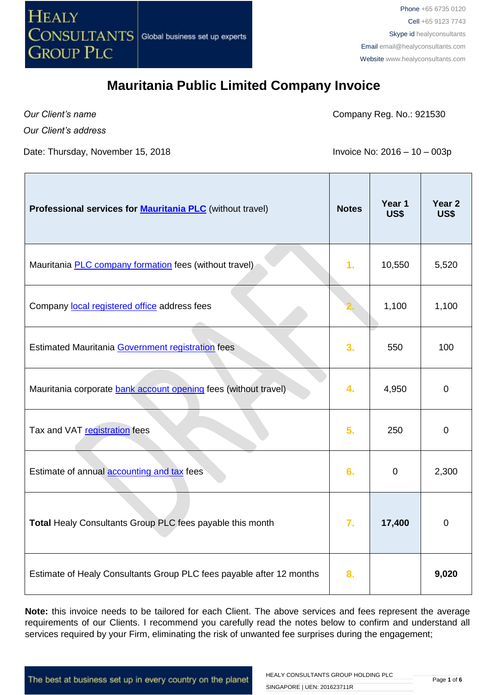

*Our Client's name*

Company Reg. No.: 921530

*Our Client's address*

Date: Thursday, November 15, 2018 **Invoice No: 2016 – 10 – 003p** 

| Professional services for <b>Mauritania PLC</b> (without travel)     | <b>Notes</b> | Year 1<br><b>US\$</b> | Year <sub>2</sub><br>US\$ |
|----------------------------------------------------------------------|--------------|-----------------------|---------------------------|
| Mauritania <b>PLC</b> company formation fees (without travel)        | 1.           | 10,550                | 5,520                     |
| Company local registered office address fees                         |              | 1,100                 | 1,100                     |
| Estimated Mauritania Government registration fees                    | 3.           | 550                   | 100                       |
| Mauritania corporate bank account opening fees (without travel)      | 4.           | 4,950                 | 0                         |
| Tax and VAT registration fees                                        | 5.           | 250                   | 0                         |
| Estimate of annual accounting and tax fees                           | 6.           | $\mathbf 0$           | 2,300                     |
| Total Healy Consultants Group PLC fees payable this month            | 7.           | 17,400                | 0                         |
| Estimate of Healy Consultants Group PLC fees payable after 12 months | 8.           |                       | 9,020                     |

**Note:** this invoice needs to be tailored for each Client. The above services and fees represent the average requirements of our Clients. I recommend you carefully read the notes below to confirm and understand all services required by your Firm, eliminating the risk of unwanted fee surprises during the engagement;

The best at business set up in every country on the planet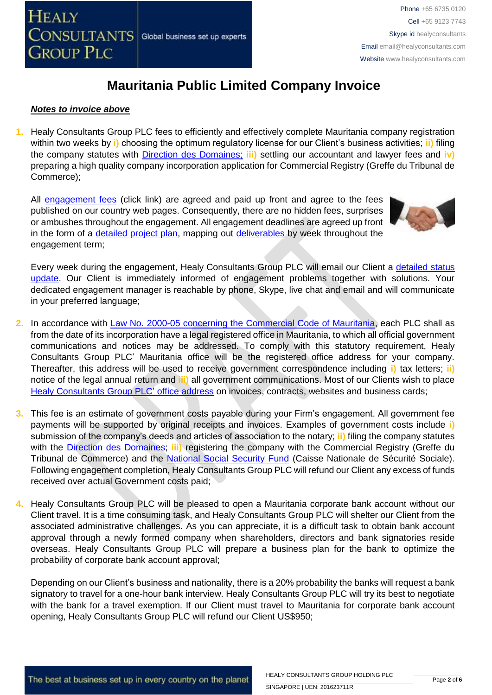

#### *Notes to invoice above*

**1.** Healy Consultants Group PLC fees to efficiently and effectively complete Mauritania company registration within two weeks by **i)** choosing the optimum regulatory license for our Client's business activities; **ii)** filing the company statutes with [Direction des Domaines;](http://www.finances.gov.mr/) **iii)** settling our accountant and lawyer fees and **iv)** preparing a high quality company incorporation application for Commercial Registry (Greffe du Tribunal de Commerce);

All [engagement fees](http://www.healyconsultants.com/company-registration-fees/) (click link) are agreed and paid up front and agree to the fees published on our country web pages. Consequently, there are no hidden fees, surprises or ambushes throughout the engagement. All engagement deadlines are agreed up front in the form of a [detailed project plan,](http://www.healyconsultants.com/index-important-links/example-project-plan/) mapping out [deliverables](http://www.healyconsultants.com/deliverables-to-our-clients/) by week throughout the engagement term;



Every week during the engagement, Healy Consultants Group PLC will email our Client a [detailed status](http://www.healyconsultants.com/index-important-links/weekly-engagement-status-email/)  [update.](http://www.healyconsultants.com/index-important-links/weekly-engagement-status-email/) Our Client is immediately informed of engagement problems together with solutions. Your dedicated engagement manager is reachable by phone, Skype, live chat and email and will communicate in your preferred language;

- **2.** In accordance with [Law No. 2000-05 concerning the Commercial Code](http://www.wipo.int/wipolex/fr/text.jsp?file_id=236577#LinkTarget_7738) of Mauritania, each PLC shall as from the date of its incorporation have a legal registered office in Mauritania, to which all official government communications and notices may be addressed. To comply with this statutory requirement, Healy Consultants Group PLC' Mauritania office will be the registered office address for your company. Thereafter, this address will be used to receive government correspondence including **i)** tax letters; **ii)** notice of the legal annual return and **iii)** all government communications. Most of our Clients wish to place [Healy Consultants Group PLC'](http://www.healyconsultants.com/corporate-outsourcing-services/company-secretary-and-legal-registered-office/) office address on invoices, contracts, websites and business cards;
- **3.** This fee is an estimate of government costs payable during your Firm's engagement. All government fee payments will be supported by original receipts and invoices. Examples of government costs include **i)** submission of the company's deeds and articles of association to the notary; **ii)** filing the company statutes with the [Direction des Domaines;](http://www.finances.gov.mr/) **iii)** registering the company with the Commercial Registry (Greffe du Tribunal de Commerce) and the [National Social Security Fund](http://www.cnss.mr/) (Caisse Nationale de Sécurité Sociale). Following engagement completion, Healy Consultants Group PLC will refund our Client any excess of funds received over actual Government costs paid;
- **4.** Healy Consultants Group PLC will be pleased to open a Mauritania corporate bank account without our Client travel. It is a time consuming task, and Healy Consultants Group PLC will shelter our Client from the associated administrative challenges. As you can appreciate, it is a difficult task to obtain bank account approval through a newly formed company when shareholders, directors and bank signatories reside overseas. Healy Consultants Group PLC will prepare a business plan for the bank to optimize the probability of corporate bank account approval;

Depending on our Client's business and nationality, there is a 20% probability the banks will request a bank signatory to travel for a one-hour bank interview. Healy Consultants Group PLC will try its best to negotiate with the bank for a travel exemption. If our Client must travel to Mauritania for corporate bank account opening, Healy Consultants Group PLC will refund our Client US\$950;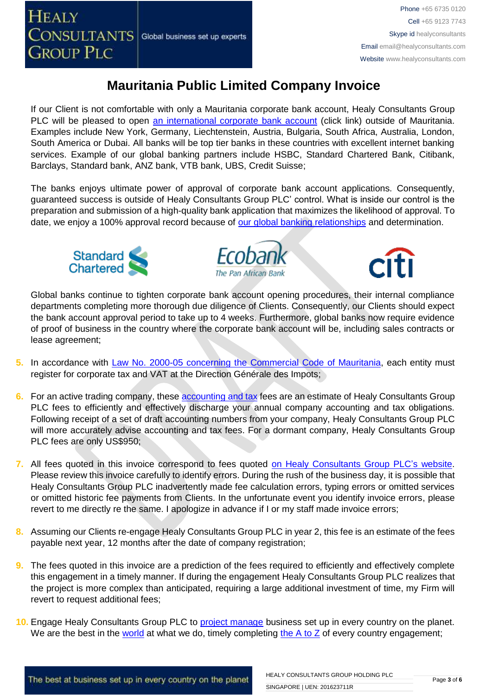

If our Client is not comfortable with only a Mauritania corporate bank account, Healy Consultants Group PLC will be pleased to open [an international corporate bank account](http://www.healyconsultants.com/international-banking/) (click link) outside of Mauritania. Examples include New York, Germany, Liechtenstein, Austria, Bulgaria, South Africa, Australia, London, South America or Dubai. All banks will be top tier banks in these countries with excellent internet banking services. Example of our global banking partners include HSBC, Standard Chartered Bank, Citibank, Barclays, Standard bank, ANZ bank, VTB bank, UBS, Credit Suisse;

The banks enjoys ultimate power of approval of corporate bank account applications. Consequently, guaranteed success is outside of Healy Consultants Group PLC' control. What is inside our control is the preparation and submission of a high-quality bank application that maximizes the likelihood of approval. To date, we enjoy a 100% approval record because of [our global banking relationships](http://www.healyconsultants.com/international-banking/corporate-accounts/) and determination.







Global banks continue to tighten corporate bank account opening procedures, their internal compliance departments completing more thorough due diligence of Clients. Consequently, our Clients should expect the bank account approval period to take up to 4 weeks. Furthermore, global banks now require evidence of proof of business in the country where the corporate bank account will be, including sales contracts or lease agreement;

- 5. In accordance with [Law No. 2000-05 concerning the Commercial Code](http://www.wipo.int/wipolex/fr/text.jsp?file_id=236577#LinkTarget_7738) of Mauritania, each entity must register for corporate tax and VAT at the Direction Générale des Impots;
- **6.** For an active trading company, thes[e accounting and tax](http://www.healyconsultants.com/mauritania-company-registration/accounting-legal/) fees are an estimate of Healy Consultants Group PLC fees to efficiently and effectively discharge your annual company accounting and tax obligations. Following receipt of a set of draft accounting numbers from your company, Healy Consultants Group PLC will more accurately advise accounting and tax fees. For a dormant company, Healy Consultants Group PLC fees are only US\$950;
- **7.** All fees quoted in this invoice correspond to fees quoted [on Healy Consultants Group PLC's](http://www.healyconsultants.com/company-registration-fees/) website. Please review this invoice carefully to identify errors. During the rush of the business day, it is possible that Healy Consultants Group PLC inadvertently made fee calculation errors, typing errors or omitted services or omitted historic fee payments from Clients. In the unfortunate event you identify invoice errors, please revert to me directly re the same. I apologize in advance if I or my staff made invoice errors;
- **8.** Assuming our Clients re-engage Healy Consultants Group PLC in year 2, this fee is an estimate of the fees payable next year, 12 months after the date of company registration;
- **9.** The fees quoted in this invoice are a prediction of the fees required to efficiently and effectively complete this engagement in a timely manner. If during the engagement Healy Consultants Group PLC realizes that the project is more complex than anticipated, requiring a large additional investment of time, my Firm will revert to request additional fees;
- **10.** Engage Healy Consultants Group PLC to [project manage](http://www.healyconsultants.com/project-manage-engagements/) business set up in every country on the planet. We are the best in the [world](http://www.healyconsultants.com/best-in-the-world/) at what we do, timely completing the  $A$  to  $Z$  of every country engagement;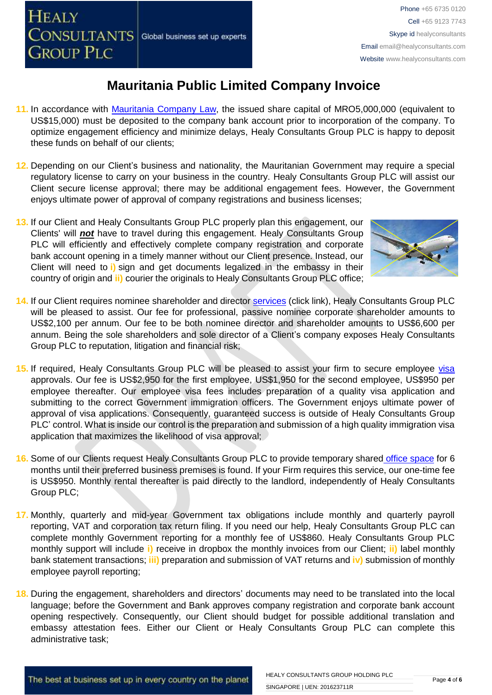

- **11.** In accordance with [Mauritania](http://www.wipo.int/wipolex/fr/text.jsp?file_id=236577#LinkTarget_7738) Company Law, the issued share capital of MRO5,000,000 (equivalent to US\$15,000) must be deposited to the company bank account prior to incorporation of the company. To optimize engagement efficiency and minimize delays, Healy Consultants Group PLC is happy to deposit these funds on behalf of our clients;
- **12.** Depending on our Client's business and nationality, the Mauritanian Government may require a special regulatory license to carry on your business in the country. Healy Consultants Group PLC will assist our Client secure license approval; there may be additional engagement fees. However, the Government enjoys ultimate power of approval of company registrations and business licenses;
- **13.** If our Client and Healy Consultants Group PLC properly plan this engagement, our Clients' will *not* have to travel during this engagement. Healy Consultants Group PLC will efficiently and effectively complete company registration and corporate bank account opening in a timely manner without our Client presence. Instead, our Client will need to **i)** sign and get documents legalized in the embassy in their country of origin and **ii)** courier the originals to Healy Consultants Group PLC office;



- **14.** If our Client requires nominee shareholder and director services [\(click link\),](http://www.healyconsultants.com/corporate-outsourcing-services/nominee-shareholders-directors/) Healy Consultants Group PLC will be pleased to assist. Our fee for professional, passive nominee corporate shareholder amounts to US\$2,100 per annum. Our fee to be both nominee director and shareholder amounts to US\$6,600 per annum. Being the sole shareholders and sole director of a Client's company exposes Healy Consultants Group PLC to reputation, litigation and financial risk;
- 15. If required, Healy Consultants Group PLC will be pleased to assist your firm to secure employee [visa](http://www.healyconsultants.com/corporate-advisory-services/) approvals. Our fee is US\$2,950 for the first employee, US\$1,950 for the second employee, US\$950 per employee thereafter. Our employee visa fees includes preparation of a quality visa application and submitting to the correct Government immigration officers. The Government enjoys ultimate power of approval of visa applications. Consequently, guaranteed success is outside of Healy Consultants Group PLC' control. What is inside our control is the preparation and submission of a high quality immigration visa application that maximizes the likelihood of visa approval;
- **16.** Some of our Clients request Healy Consultants Group PLC to provide temporary shared [office space](http://www.healyconsultants.com/virtual-office/) for 6 months until their preferred business premises is found. If your Firm requires this service, our one-time fee is US\$950. Monthly rental thereafter is paid directly to the landlord, independently of Healy Consultants Group PLC;
- **17.** Monthly, quarterly and mid-year Government tax obligations include monthly and quarterly payroll reporting, VAT and corporation tax return filing. If you need our help, Healy Consultants Group PLC can complete monthly Government reporting for a monthly fee of US\$860. Healy Consultants Group PLC monthly support will include **i)** receive in dropbox the monthly invoices from our Client; **ii)** label monthly bank statement transactions; **iii)** preparation and submission of VAT returns and **iv)** submission of monthly employee payroll reporting;
- **18.** During the engagement, shareholders and directors' documents may need to be translated into the local language; before the Government and Bank approves company registration and corporate bank account opening respectively. Consequently, our Client should budget for possible additional translation and embassy attestation fees. Either our Client or Healy Consultants Group PLC can complete this administrative task;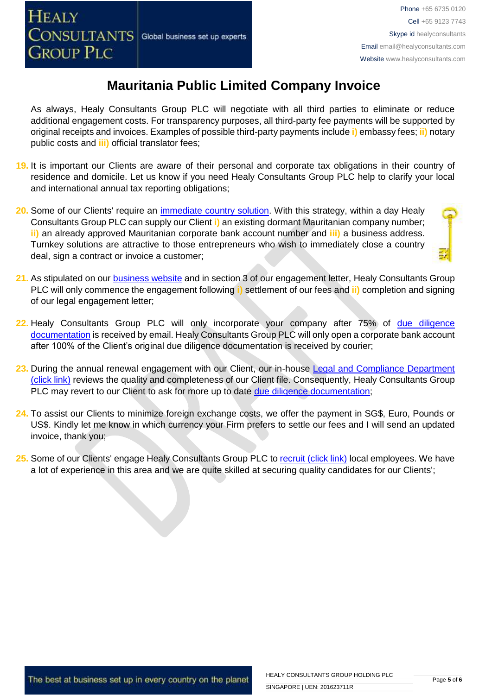As always, Healy Consultants Group PLC will negotiate with all third parties to eliminate or reduce additional engagement costs. For transparency purposes, all third-party fee payments will be supported by original receipts and invoices. Examples of possible third-party payments include **i)** embassy fees; **ii)** notary public costs and **iii)** official translator fees;

- **19.** It is important our Clients are aware of their personal and corporate tax obligations in their country of residence and domicile. Let us know if you need Healy Consultants Group PLC help to clarify your local and international annual tax reporting obligations;
- **20.** Some of our Clients' require an *immediate country solution*. With this strategy, within a day Healy Consultants Group PLC can supply our Client **i)** an existing dormant Mauritanian company number; **ii)** an already approved Mauritanian corporate bank account number and **iii)** a business address. Turnkey solutions are attractive to those entrepreneurs who wish to immediately close a country deal, sign a contract or invoice a customer;
- 
- **21.** As stipulated on our [business website](http://www.healyconsultants.com/) and in section 3 of our engagement letter, Healy Consultants Group PLC will only commence the engagement following **i)** settlement of our fees and **ii)** completion and signing of our legal engagement letter;
- **22.** Healy Consultants Group PLC will only incorporate your company after 75% of [due diligence](http://www.healyconsultants.com/due-diligence/)  [documentation](http://www.healyconsultants.com/due-diligence/) is received by email. Healy Consultants Group PLC will only open a corporate bank account after 100% of the Client's original due diligence documentation is received by courier;
- 23. During the annual renewal engagement with our Client, our in-house Legal and Compliance Department [\(click link\)](http://www.healyconsultants.com/about-us/key-personnel/cai-xin-profile/) reviews the quality and completeness of our Client file. Consequently, Healy Consultants Group PLC may revert to our Client to ask for more up to date [due diligence documentation;](http://www.healyconsultants.com/due-diligence/)
- **24.** To assist our Clients to minimize foreign exchange costs, we offer the payment in SG\$, Euro, Pounds or US\$. Kindly let me know in which currency your Firm prefers to settle our fees and I will send an updated invoice, thank you;
- 25. Some of our Clients' engage Healy Consultants Group PLC t[o recruit \(click link\)](http://www.healyconsultants.com/corporate-outsourcing-services/how-we-help-our-clients-recruit-quality-employees/) local employees. We have a lot of experience in this area and we are quite skilled at securing quality candidates for our Clients';